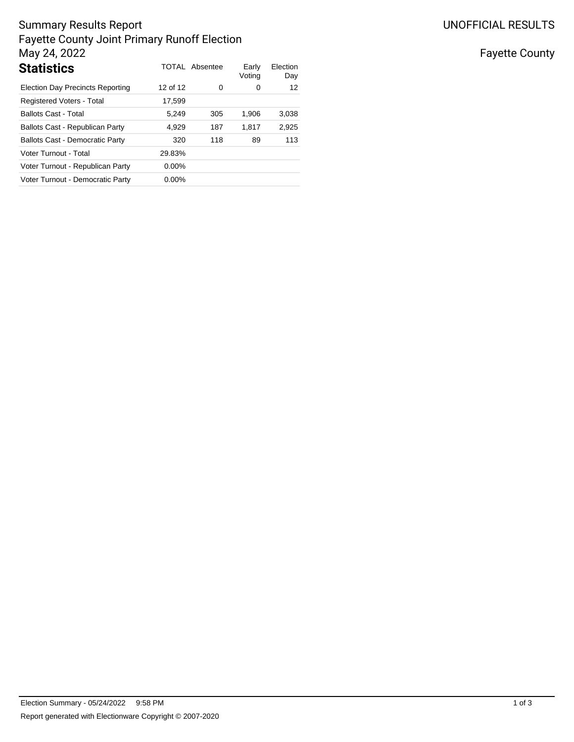### Summary Results Report Fayette County Joint Primary Runoff Election May 24, 2022 **TOTAL Absentee** Early Election

| Statistics                              |          | IUIAL AUSCHICC | Lally<br>Voting | LICULUIT<br>Day |
|-----------------------------------------|----------|----------------|-----------------|-----------------|
| <b>Election Day Precincts Reporting</b> | 12 of 12 | 0              | 0               | 12              |
| Registered Voters - Total               | 17,599   |                |                 |                 |
| Ballots Cast - Total                    | 5.249    | 305            | 1,906           | 3,038           |
| Ballots Cast - Republican Party         | 4,929    | 187            | 1.817           | 2,925           |
| <b>Ballots Cast - Democratic Party</b>  | 320      | 118            | 89              | 113             |
| Voter Turnout - Total                   | 29.83%   |                |                 |                 |
| Voter Turnout - Republican Party        | $0.00\%$ |                |                 |                 |
| Voter Turnout - Democratic Party        | $0.00\%$ |                |                 |                 |

Fayette County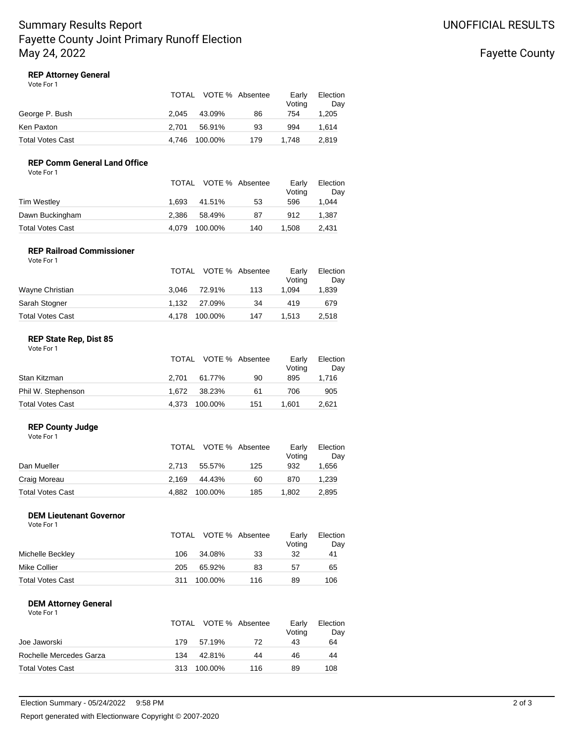# Summary Results Report Fayette County Joint Primary Runoff Election May 24, 2022

### **REP Attorney General**

Vote For 1

|                  |       | TOTAL VOTE % Absentee |     | Earlv<br>Votina | Election<br>Day |
|------------------|-------|-----------------------|-----|-----------------|-----------------|
| George P. Bush   | 2.045 | 43.09%                | 86  | 754             | 1,205           |
| Ken Paxton       | 2.701 | 56.91%                | 93  | 994             | 1.614           |
| Total Votes Cast | 4.746 | 100.00%               | 179 | 1.748           | 2,819           |

## **REP Comm General Land Office**

Vote For 1

|                  |       | TOTAL VOTE % Absentee |     | Early<br>Voting | Election<br>Day |
|------------------|-------|-----------------------|-----|-----------------|-----------------|
| Tim Westley      | 1.693 | 41.51%                | 53  | 596             | 1.044           |
| Dawn Buckingham  | 2.386 | 58.49%                | 87  | 912             | 1.387           |
| Total Votes Cast | 4.079 | 100.00%               | 140 | 1.508           | 2,431           |

#### **REP Railroad Commissioner** Vote For 1

|                  |       | TOTAL VOTE % Absentee |     | Early<br>Votina | Election<br>Day |
|------------------|-------|-----------------------|-----|-----------------|-----------------|
| Wayne Christian  | 3.046 | 72.91%                | 113 | 1.094           | 1,839           |
| Sarah Stogner    | 1.132 | 27.09%                | 34  | 419             | 679             |
| Total Votes Cast | 4.178 | 100.00%               | 147 | 1.513           | 2,518           |

#### **REP State Rep, Dist 85** Vote For 1

|                    |       | TOTAL VOTE % Absentee |     | Early<br>Votina | Election<br>Day |
|--------------------|-------|-----------------------|-----|-----------------|-----------------|
| Stan Kitzman       | 2.701 | 61.77%                | 90  | 895             | 1,716           |
| Phil W. Stephenson | 1.672 | 38.23%                | 61  | 706             | 905             |
| Total Votes Cast   | 4.373 | 100.00%               | 151 | 1.601           | 2.621           |

### **REP County Judge**

Vote For 1

|                         |       | TOTAL VOTE % Absentee |     | Early<br>Votina | Election<br>Day |
|-------------------------|-------|-----------------------|-----|-----------------|-----------------|
| Dan Mueller             | 2.713 | 55.57%                | 125 | 932             | 1.656           |
| Craig Moreau            | 2.169 | 44.43%                | 60  | 870             | 1,239           |
| <b>Total Votes Cast</b> | 4.882 | 100.00%               | 185 | 1.802           | 2,895           |

#### **DEM Lieutenant Governor** Vote For 1

|                  |     | TOTAL VOTE % Absentee |     | Early<br>Voting | Election<br>Day |
|------------------|-----|-----------------------|-----|-----------------|-----------------|
| Michelle Beckley | 106 | 34.08%                | 33  | 32              | 41              |
| Mike Collier     | 205 | 65.92%                | 83  | 57              | 65              |
| Total Votes Cast | 311 | 100.00%               | 116 | 89              | 106             |

### **DEM Attorney General**

Vote For 1

|                         |     | TOTAL VOTE % Absentee |     | Early<br>Voting | Election<br>Day |
|-------------------------|-----|-----------------------|-----|-----------------|-----------------|
| Joe Jaworski            | 179 | 57.19%                | 72  | 43              | 64              |
| Rochelle Mercedes Garza | 134 | 42.81%                | 44  | 46              | 44              |
| <b>Total Votes Cast</b> | 313 | 100.00%               | 116 | 89              | 108             |

# Fayette County